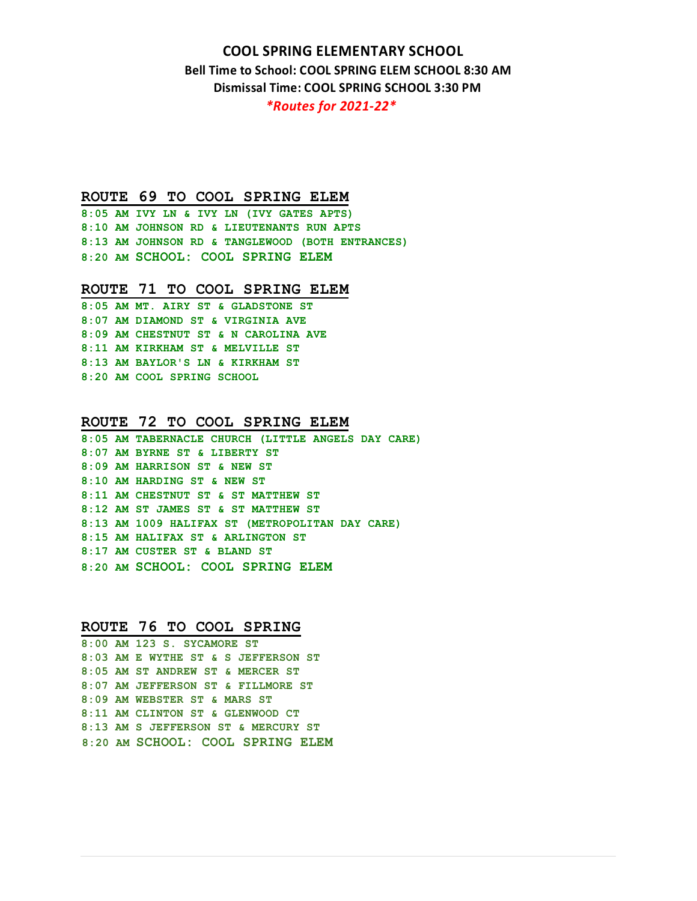# **COOL SPRING ELEMENTARY SCHOOL**

**Bell Time to School: COOL SPRING ELEM SCHOOL 8:30 AM Dismissal Time: COOL SPRING SCHOOL 3:30 PM** 

*\*Routes for 2021-22\** 

# **ROUTE 69 TO COOL SPRING ELEM**

**8:05 AM IVY LN & IVY LN (IVY GATES APTS) 8:10 AM JOHNSON RD & LIEUTENANTS RUN APTS 8:13 AM JOHNSON RD & TANGLEWOOD (BOTH ENTRANCES) 8:20 AM SCHOOL: COOL SPRING ELEM** 

#### **ROUTE 71 TO COOL SPRING ELEM**

**8:05 AM MT. AIRY ST & GLADSTONE ST 8:07 AM DIAMOND ST & VIRGINIA AVE 8:09 AM CHESTNUT ST & N CAROLINA AVE 8:11 AM KIRKHAM ST & MELVILLE ST 8:13 AM BAYLOR'S LN & KIRKHAM ST 8:20 AM COOL SPRING SCHOOL** 

# **ROUTE 72 TO COOL SPRING ELEM**

**8:05 AM TABERNACLE CHURCH (LITTLE ANGELS DAY CARE) 8:07 AM BYRNE ST & LIBERTY ST 8:09 AM HARRISON ST & NEW ST 8:10 AM HARDING ST & NEW ST 8:11 AM CHESTNUT ST & ST MATTHEW ST 8:12 AM ST JAMES ST & ST MATTHEW ST 8:13 AM 1009 HALIFAX ST (METROPOLITAN DAY CARE) 8:15 AM HALIFAX ST & ARLINGTON ST 8:17 AM CUSTER ST & BLAND ST 8:20 AM SCHOOL: COOL SPRING ELEM** 

#### **ROUTE 76 TO COOL SPRING**

**8:00 AM 123 S. SYCAMORE ST 8:03 AM E WYTHE ST & S JEFFERSON ST 8:05 AM ST ANDREW ST & MERCER ST 8:07 AM JEFFERSON ST & FILLMORE ST 8:09 AM WEBSTER ST & MARS ST 8:11 AM CLINTON ST & GLENWOOD CT 8:13 AM S JEFFERSON ST & MERCURY ST 8:20 AM SCHOOL: COOL SPRING ELEM**